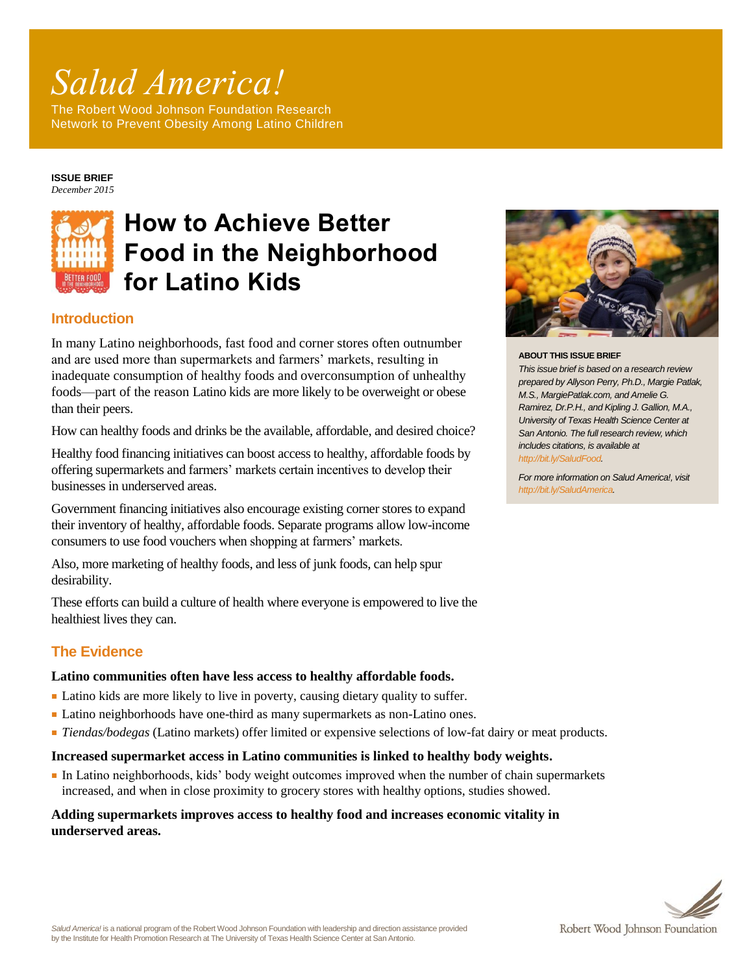# *Salud America!*

The Robert Wood Johnson Foundation Research Network to Prevent Obesity Among Latino Children

#### **ISSUE BRIEF** *December 2015*



# **How to Achieve Better Food in the Neighborhood for Latino Kids**

# **Introduction**

In many Latino neighborhoods, fast food and corner stores often outnumber and are used more than supermarkets and farmers' markets, resulting in inadequate consumption of healthy foods and overconsumption of unhealthy foods—part of the reason Latino kids are more likely to be overweight or obese than their peers.

How can healthy foods and drinks be the available, affordable, and desired choice?

Healthy food financing initiatives can boost access to healthy, affordable foods by offering supermarkets and farmers' markets certain incentives to develop their businesses in underserved areas.

Government financing initiatives also encourage existing corner stores to expand their inventory of healthy, affordable foods. Separate programs allow low-income consumers to use food vouchers when shopping at farmers' markets.

Also, more marketing of healthy foods, and less of junk foods, can help spur desirability.

These efforts can build a culture of health where everyone is empowered to live the healthiest lives they can.

# **The Evidence**

# **Latino communities often have less access to healthy affordable foods.**

- Latino kids are more likely to live in poverty, causing dietary quality to suffer.
- Latino neighborhoods have one-third as many supermarkets as non-Latino ones.
- *Tiendas/bodegas* (Latino markets) offer limited or expensive selections of low-fat dairy or meat products.

# **Increased supermarket access in Latino communities is linked to healthy body weights.**

■ In Latino neighborhoods, kids' body weight outcomes improved when the number of chain supermarkets increased, and when in close proximity to grocery stores with healthy options, studies showed.

# **Adding supermarkets improves access to healthy food and increases economic vitality in underserved areas.**



#### **ABOUT THIS ISSUE BRIEF**

*This issue brief is based on a research review prepared by Allyson Perry, Ph.D., Margie Patlak, M.S., MargiePatlak.com, and Amelie G. Ramirez, Dr.P.H., and Kipling J. Gallion, M.A., University of Texas Health Science Center at San Antonio. The full research review, which includes citations, is available at [http://bit.ly/SaludFood.](http://bit.ly/SaludFood)*

*For more information on Salud America!, visit [http://bit.ly/SaludAmerica.](http://www.communitycommons.org/groups/salud-america/)*

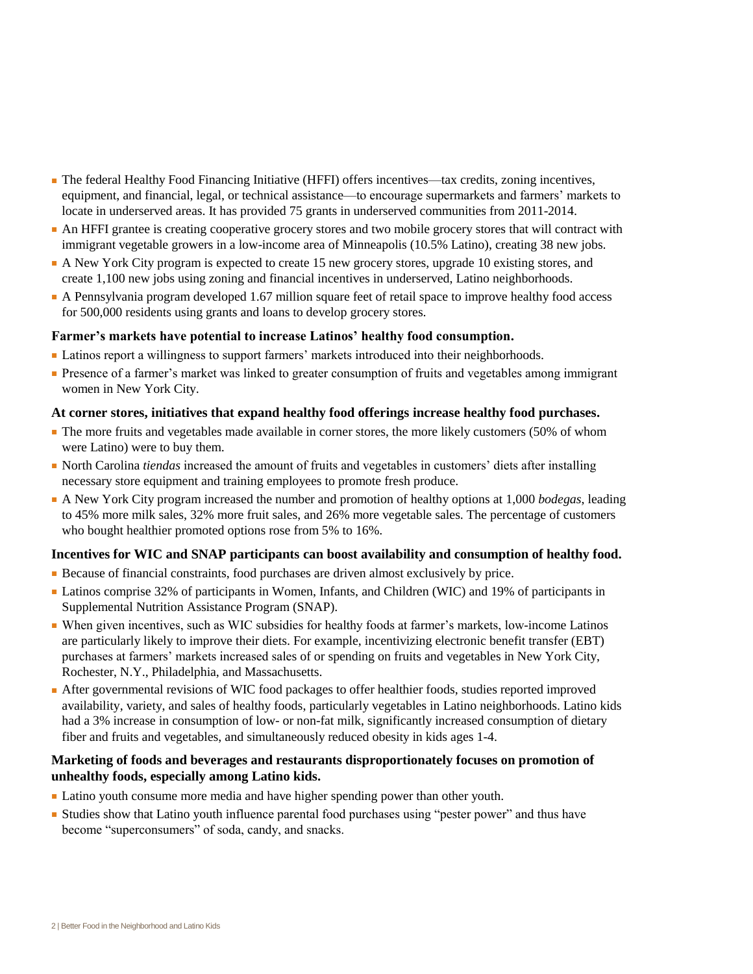- The federal Healthy Food Financing Initiative (HFFI) offers incentives—tax credits, zoning incentives, equipment, and financial, legal, or technical assistance—to encourage supermarkets and farmers' markets to locate in underserved areas. It has provided 75 grants in underserved communities from 2011-2014.
- An HFFI grantee is creating cooperative grocery stores and two mobile grocery stores that will contract with immigrant vegetable growers in a low-income area of Minneapolis (10.5% Latino), creating 38 new jobs.
- A New York City program is expected to create 15 new grocery stores, upgrade 10 existing stores, and create 1,100 new jobs using zoning and financial incentives in underserved, Latino neighborhoods.
- A Pennsylvania program developed 1.67 million square feet of retail space to improve healthy food access for 500,000 residents using grants and loans to develop grocery stores.

# **Farmer's markets have potential to increase Latinos' healthy food consumption.**

- Latinos report a willingness to support farmers' markets introduced into their neighborhoods.
- Presence of a farmer's market was linked to greater consumption of fruits and vegetables among immigrant women in New York City.

### **At corner stores, initiatives that expand healthy food offerings increase healthy food purchases.**

- The more fruits and vegetables made available in corner stores, the more likely customers (50% of whom were Latino) were to buy them.
- North Carolina *tiendas* increased the amount of fruits and vegetables in customers' diets after installing necessary store equipment and training employees to promote fresh produce.
- A New York City program increased the number and promotion of healthy options at 1,000 *bodegas*, leading to 45% more milk sales, 32% more fruit sales, and 26% more vegetable sales. The percentage of customers who bought healthier promoted options rose from 5% to 16%.

# **Incentives for WIC and SNAP participants can boost availability and consumption of healthy food.**

- Because of financial constraints, food purchases are driven almost exclusively by price.
- Latinos comprise 32% of participants in Women, Infants, and Children (WIC) and 19% of participants in Supplemental Nutrition Assistance Program (SNAP).
- When given incentives, such as WIC subsidies for healthy foods at farmer's markets, low-income Latinos are particularly likely to improve their diets. For example, incentivizing electronic benefit transfer (EBT) purchases at farmers' markets increased sales of or spending on fruits and vegetables in New York City, Rochester, N.Y., Philadelphia, and Massachusetts.
- After governmental revisions of WIC food packages to offer healthier foods, studies reported improved availability, variety, and sales of healthy foods, particularly vegetables in Latino neighborhoods. Latino kids had a 3% increase in consumption of low- or non-fat milk, significantly increased consumption of dietary fiber and fruits and vegetables, and simultaneously reduced obesity in kids ages 1-4.

# **Marketing of foods and beverages and restaurants disproportionately focuses on promotion of unhealthy foods, especially among Latino kids.**

- Latino youth consume more media and have higher spending power than other youth.
- Studies show that Latino youth influence parental food purchases using "pester power" and thus have become "superconsumers" of soda, candy, and snacks.